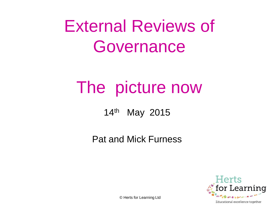## External Reviews of Governance

## The picture now

14th May 2015

Pat and Mick Furness

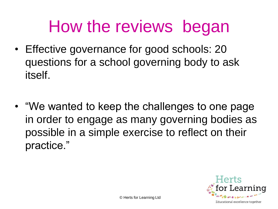## How the reviews began

- Effective governance for good schools: 20 questions for a school governing body to ask itself.
- "We wanted to keep the challenges to one page in order to engage as many governing bodies as possible in a simple exercise to reflect on their practice."

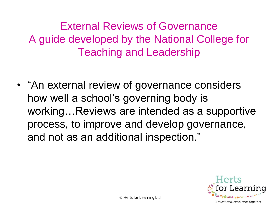External Reviews of Governance A guide developed by the National College for Teaching and Leadership

• "An external review of governance considers how well a school's governing body is working…Reviews are intended as a supportive process, to improve and develop governance, and not as an additional inspection."

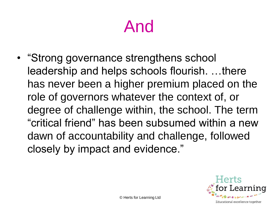## And

• "Strong governance strengthens school leadership and helps schools flourish. …there has never been a higher premium placed on the role of governors whatever the context of, or degree of challenge within, the school. The term "critical friend" has been subsumed within a new dawn of accountability and challenge, followed closely by impact and evidence."

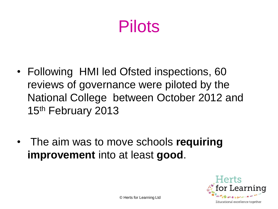## Pilots

- Following HMI led Ofsted inspections, 60 reviews of governance were piloted by the National College between October 2012 and 15<sup>th</sup> February 2013
- The aim was to move schools **requiring improvement** into at least **good**.



© Herts for Learning Ltd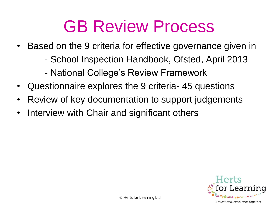## GB Review Process

- Based on the 9 criteria for effective governance given in
	- School Inspection Handbook, Ofsted, April 2013
	- National College's Review Framework
- Questionnaire explores the 9 criteria- 45 questions
- Review of key documentation to support judgements
- Interview with Chair and significant others

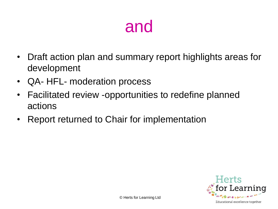#### and

- Draft action plan and summary report highlights areas for development
- QA- HFL- moderation process
- Facilitated review -opportunities to redefine planned actions
- Report returned to Chair for implementation

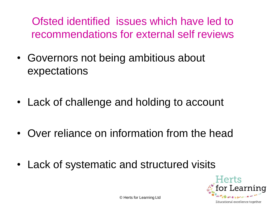Ofsted identified issues which have led to recommendations for external self reviews

- Governors not being ambitious about expectations
- Lack of challenge and holding to account
- Over reliance on information from the head
- Lack of systematic and structured visits



© Herts for Learning Ltd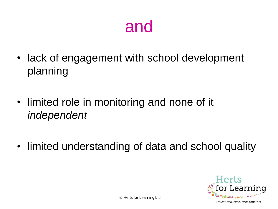#### and

- lack of engagement with school development planning
- limited role in monitoring and none of it *independent*
- limited understanding of data and school quality

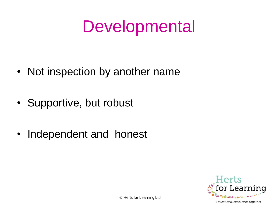## **Developmental**

- Not inspection by another name
- Supportive, but robust
- Independent and honest

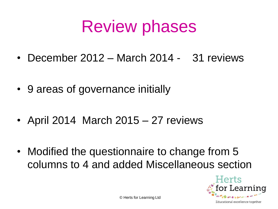## Review phases

- December 2012 March 2014 31 reviews
- 9 areas of governance initially
- April 2014 March 2015 27 reviews
- Modified the questionnaire to change from 5 columns to 4 and added Miscellaneous section



© Herts for Learning Ltd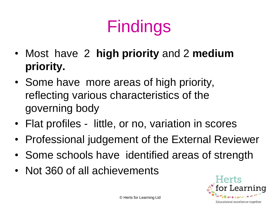# Findings

- Most have 2 **high priority** and 2 **medium priority.**
- Some have more areas of high priority, reflecting various characteristics of the governing body
- Flat profiles little, or no, variation in scores
- Professional judgement of the External Reviewer
- Some schools have identified areas of strength
- Not 360 of all achievements

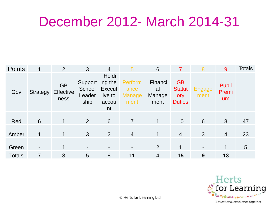#### December 2012- March 2014-31

| <b>Points</b> | 1               | 2                                     | 3                                   | $\overline{4}$                                            | 5                                        | 6                               | 7                                                  | 8              | 9                    | <b>Totals</b>   |
|---------------|-----------------|---------------------------------------|-------------------------------------|-----------------------------------------------------------|------------------------------------------|---------------------------------|----------------------------------------------------|----------------|----------------------|-----------------|
| Gov           | <b>Strategy</b> | <b>GB</b><br><b>Effective</b><br>ness | Support<br>School<br>Leader<br>ship | Holdi<br>ng the<br><b>Execut</b><br>ive to<br>accou<br>nt | Perform<br>ance<br><b>Manage</b><br>ment | Financi<br>al<br>Manage<br>ment | <b>GB</b><br><b>Statut</b><br>ory<br><b>Duties</b> | Engage<br>ment | Pupil<br>Premi<br>um |                 |
| Red           | 6               | $\mathbf{1}$                          | 2                                   | 6                                                         | $\overline{7}$                           | $\mathbf 1$                     | 10                                                 | 6              | 8                    | 47              |
| Amber         | 1               | $\mathbf 1$                           | 3                                   | 2                                                         | $\overline{4}$                           | 1                               | $\overline{4}$                                     | $\mathbf{3}$   | $\overline{4}$       | 23              |
| Green         |                 | 1                                     | ٠                                   |                                                           |                                          | $\overline{2}$                  | 1                                                  |                | 1                    | $5\overline{)}$ |
| <b>Totals</b> | 7               | 3                                     | 5                                   | 8                                                         | 11                                       | $\overline{4}$                  | 15                                                 | 9              | 13                   |                 |



© Herts for Learning Ltd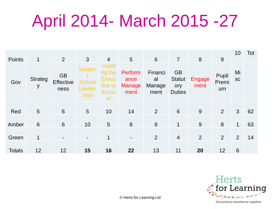## April 2014- March 2015 -27

| <b>Points</b> | 1                   | 2                                     | 3                                                | $\overline{4}$                                                   | $5\overline{)}$                          | $6\phantom{1}6$                 | $\overline{7}$                                     | 8              | 9                    | 10              | Tot |
|---------------|---------------------|---------------------------------------|--------------------------------------------------|------------------------------------------------------------------|------------------------------------------|---------------------------------|----------------------------------------------------|----------------|----------------------|-----------------|-----|
| Gov           | <b>Strateg</b><br>У | <b>GB</b><br><b>Effective</b><br>ness | <b>Suppor</b><br><b>School</b><br>Leader<br>ship | <b>Holdi</b><br>ng the<br><b>Execu</b><br>tive to<br>accou<br>nt | Perform<br>ance<br><b>Manage</b><br>ment | Financi<br>al<br>Manage<br>ment | <b>GB</b><br><b>Statut</b><br>ory<br><b>Duties</b> | Engage<br>ment | Pupil<br>Premi<br>um | Mi<br><b>SC</b> |     |
| Red           | 5                   | 6                                     | $5\overline{)}$                                  | 10                                                               | 14                                       | 2                               | $6\phantom{1}6$                                    | 9              | 2                    | $\mathbf{3}$    | 62  |
| Amber         | $6\phantom{1}6$     | 6                                     | 10                                               | 5                                                                | 8                                        | 9                               | 1                                                  | 9              | 8                    | 1               | 63  |
| Green         | 1                   |                                       |                                                  | 1                                                                |                                          | $\overline{2}$                  | $\overline{4}$                                     | 2              | 2                    | 2               | 14  |
| <b>Totals</b> | 12                  | 12                                    | 15                                               | 16                                                               | 22                                       | 13                              | 11                                                 | 20             | 12                   | $6\phantom{1}6$ |     |

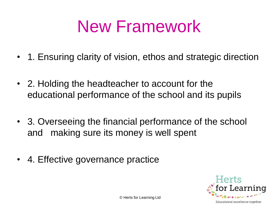## New Framework

- 1. Ensuring clarity of vision, ethos and strategic direction
- 2. Holding the headteacher to account for the educational performance of the school and its pupils
- 3. Overseeing the financial performance of the school and making sure its money is well spent
- 4. Effective governance practice

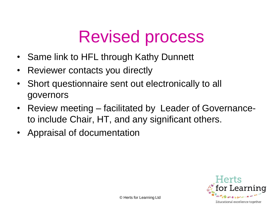## Revised process

- Same link to HFL through Kathy Dunnett
- Reviewer contacts you directly
- Short questionnaire sent out electronically to all governors
- Review meeting facilitated by Leader of Governanceto include Chair, HT, and any significant others.
- Appraisal of documentation

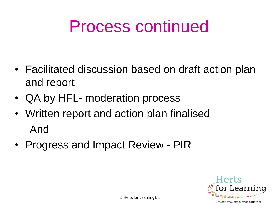## Process continued

- Facilitated discussion based on draft action plan and report
- QA by HFL- moderation process
- Written report and action plan finalised And
- Progress and Impact Review PIR

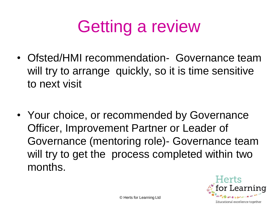# Getting a review

- Ofsted/HMI recommendation- Governance team will try to arrange quickly, so it is time sensitive to next visit
- Your choice, or recommended by Governance Officer, Improvement Partner or Leader of Governance (mentoring role)- Governance team will try to get the process completed within two months.

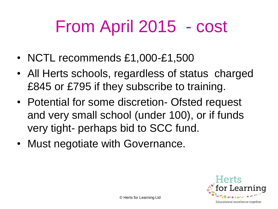# From April 2015 - cost

- NCTL recommends £1,000-£1,500
- All Herts schools, regardless of status charged £845 or £795 if they subscribe to training.
- Potential for some discretion- Ofsted request and very small school (under 100), or if funds very tight- perhaps bid to SCC fund.
- Must negotiate with Governance.